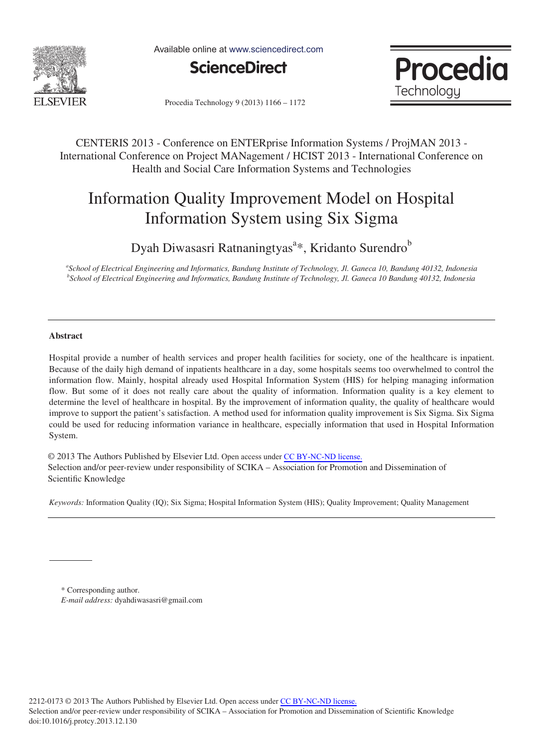

Available online at www.sciencedirect.com





Procedia Technology 9 (2013) 1166 - 1172

CENTERIS 2013 - Conference on ENTERprise Information Systems / ProjMAN 2013 - International Conference on Project MANagement / HCIST 2013 - International Conference on Health and Social Care Information Systems and Technologies

# Information Quality Improvement Model on Hospital Information System using Six Sigma

Dyah Diwasasri Ratnaningtyas<sup>a\*</sup>, Kridanto Surendro<sup>b</sup>

*a School of Electrical Engineering and Informatics, Bandung Institute of Technology, Jl. Ganeca 10, Bandung 40132, Indonesia b School of Electrical Engineering and Informatics, Bandung Institute of Technology, Jl. Ganeca 10 Bandung 40132, Indonesia* 

### **Abstract**

Hospital provide a number of health services and proper health facilities for society, one of the healthcare is inpatient. Because of the daily high demand of inpatients healthcare in a day, some hospitals seems too overwhelmed to control the information flow. Mainly, hospital already used Hospital Information System (HIS) for helping managing information flow. But some of it does not really care about the quality of information. Information quality is a key element to determine the level of healthcare in hospital. By the improvement of information quality, the quality of healthcare would improve to support the patient's satisfaction. A method used for information quality improvement is Six Sigma. Six Sigma could be used for reducing information variance in healthcare, especially information that used in Hospital Information System.

© 2013 The Authors Published by Elsevier Ltd. Open access under [CC BY-NC-ND license.](http://creativecommons.org/licenses/by-nc-nd/3.0/) Selection and/or peer-review under responsibility of SCIKA – Association for Promotion and Dissemination of Scientific Knowledge

*Keywords:* Information Quality (IQ); Six Sigma; Hospital Information System (HIS); Quality Improvement; Quality Management

\* Corresponding author. *E-mail address:* dyahdiwasasri@gmail.com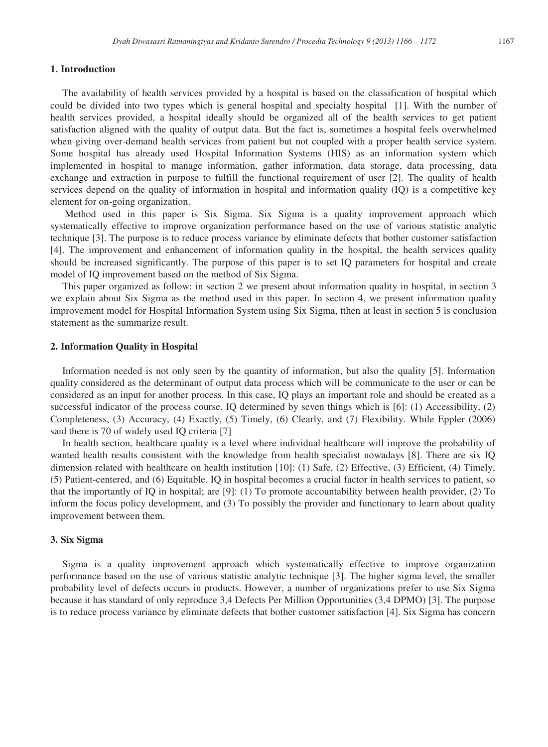### **1. Introduction**

The availability of health services provided by a hospital is based on the classification of hospital which could be divided into two types which is general hospital and specialty hospital [1]. With the number of health services provided, a hospital ideally should be organized all of the health services to get patient satisfaction aligned with the quality of output data. But the fact is, sometimes a hospital feels overwhelmed when giving over-demand health services from patient but not coupled with a proper health service system. Some hospital has already used Hospital Information Systems (HIS) as an information system which implemented in hospital to manage information, gather information, data storage, data processing, data exchange and extraction in purpose to fulfill the functional requirement of user [2]. The quality of health services depend on the quality of information in hospital and information quality (IQ) is a competitive key element for on-going organization.

 Method used in this paper is Six Sigma. Six Sigma is a quality improvement approach which systematically effective to improve organization performance based on the use of various statistic analytic technique [3]. The purpose is to reduce process variance by eliminate defects that bother customer satisfaction [4]. The improvement and enhancement of information quality in the hospital, the health services quality should be increased significantly. The purpose of this paper is to set IQ parameters for hospital and create model of IQ improvement based on the method of Six Sigma.

This paper organized as follow: in section 2 we present about information quality in hospital, in section 3 we explain about Six Sigma as the method used in this paper. In section 4, we present information quality improvement model for Hospital Information System using Six Sigma, tthen at least in section 5 is conclusion statement as the summarize result.

#### **2. Information Quality in Hospital**

Information needed is not only seen by the quantity of information, but also the quality [5]. Information quality considered as the determinant of output data process which will be communicate to the user or can be considered as an input for another process. In this case, IQ plays an important role and should be created as a successful indicator of the process course. IQ determined by seven things which is [6]: (1) Accessibility, (2) Completeness, (3) Accuracy, (4) Exactly, (5) Timely, (6) Clearly, and (7) Flexibility. While Eppler (2006) said there is 70 of widely used IQ criteria [7]

In health section, healthcare quality is a level where individual healthcare will improve the probability of wanted health results consistent with the knowledge from health specialist nowadays [8]. There are six IQ dimension related with healthcare on health institution [10]: (1) Safe, (2) Effective, (3) Efficient, (4) Timely, (5) Patient-centered, and (6) Equitable. IQ in hospital becomes a crucial factor in health services to patient, so that the importantly of IQ in hospital; are [9]: (1) To promote accountability between health provider, (2) To inform the focus policy development, and (3) To possibly the provider and functionary to learn about quality improvement between them.

#### **3. Six Sigma**

Sigma is a quality improvement approach which systematically effective to improve organization performance based on the use of various statistic analytic technique [3]. The higher sigma level, the smaller probability level of defects occurs in products. However, a number of organizations prefer to use Six Sigma because it has standard of only reproduce 3,4 Defects Per Million Opportunities (3,4 DPMO) [3]. The purpose is to reduce process variance by eliminate defects that bother customer satisfaction [4]. Six Sigma has concern